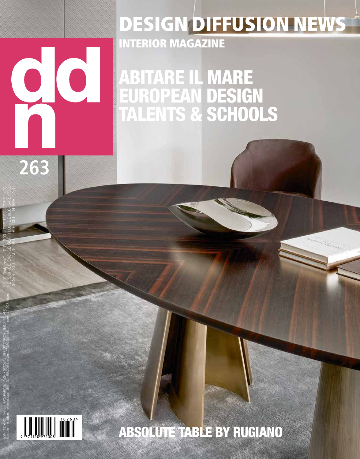## 00

**263**

## DESIGN DIFFUSION NEWS INTERIOR MAGAZINE

ABITARE IL MARE EUROPEAN DESIGN TALENTS & SCHOOLS



E 8.00 "Italy only" - F E 13,00 - D E 13,00 - GR E 14,30 - P E 15,40 - E E 8,90 - GB GBP. 11,00 - B E 10,00 - SKR. 170,00 - CH SFR. 23,00 - NL E 19,00. - A E 10,00 - N NKR. 172,00 -

ISSN 1120•9720 - Mensile -TAXE PERCUE (TASSA RISCOSSA). UFFICIO CMP/2 ROSERIO - MILANO. Spedizione in abbonamento postale - 45% - D.L. 353/2003 (conv.in L.27/02/2004 n.46) art.1, comma 1, DCB Milano

## ABSOLUTE TABLE BY RUGIANO